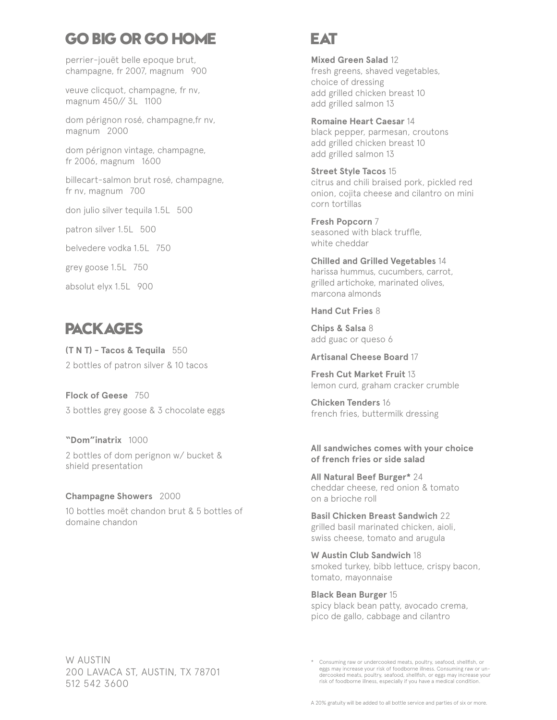# **GO BIG OR GO HOME**

perrier-jouët belle epoque brut, champagne, fr 2007, magnum 900

veuve clicquot, champagne, fr nv, magnum 450// 3L 1100

dom pérignon rosé, champagne,fr nv, magnum 2000

dom pérignon vintage, champagne, fr 2006, magnum 1600

billecart-salmon brut rosé, champagne, fr nv, magnum 700

don julio silver tequila 1.5L 500

patron silver 1.5L 500

belvedere vodka 1.5L 750

grey goose 1.5L 750

absolut elyx 1.5L 900

# **PACKAGES**

**(T N T) - Tacos & Tequila** 550 2 bottles of patron silver & 10 tacos

**Flock of Geese** 750 3 bottles grey goose & 3 chocolate eggs

**"Dom"inatrix** 1000 2 bottles of dom perignon w/ bucket & shield presentation

**Champagne Showers** 2000 10 bottles moët chandon brut & 5 bottles of domaine chandon

## **EAT**

**Mixed Green Salad** 12 fresh greens, shaved vegetables, choice of dressing add grilled chicken breast 10 add grilled salmon 13

**Romaine Heart Caesar** 14 black pepper, parmesan, croutons add grilled chicken breast 10 add grilled salmon 13

**Street Style Tacos** 15 citrus and chili braised pork, pickled red onion, cojita cheese and cilantro on mini corn tortillas

**Fresh Popcorn** 7 seasoned with black truffle, white cheddar

**Chilled and Grilled Vegetables** 14 harissa hummus, cucumbers, carrot, grilled artichoke, marinated olives, marcona almonds

### **Hand Cut Fries** 8

**Chips & Salsa** 8 add guac or queso 6

**Artisanal Cheese Board** 17

**Fresh Cut Market Fruit** 13 lemon curd, graham cracker crumble

**Chicken Tenders** 16 french fries, buttermilk dressing

#### **All sandwiches comes with your choice of french fries or side salad**

**All Natural Beef Burger\*** 24 cheddar cheese, red onion & tomato on a brioche roll

**Basil Chicken Breast Sandwich** 22 grilled basil marinated chicken, aioli, swiss cheese, tomato and arugula

**W Austin Club Sandwich** 18 smoked turkey, bibb lettuce, crispy bacon, tomato, mayonnaise

**Black Bean Burger** 15 spicy black bean patty, avocado crema, pico de gallo, cabbage and cilantro

W AUSTIN 200 LAVACA ST, AUSTIN, TX 78701 512 542 3600

<sup>\*</sup> Consuming raw or undercooked meats, poultry, seafood, shellfish, or eggs may increase your risk of foodborne illness. Consuming raw or un-dercooked meats, poultry, seafood, shellfish, or eggs may increase your risk of foodborne illness, especially if you have a medical condition.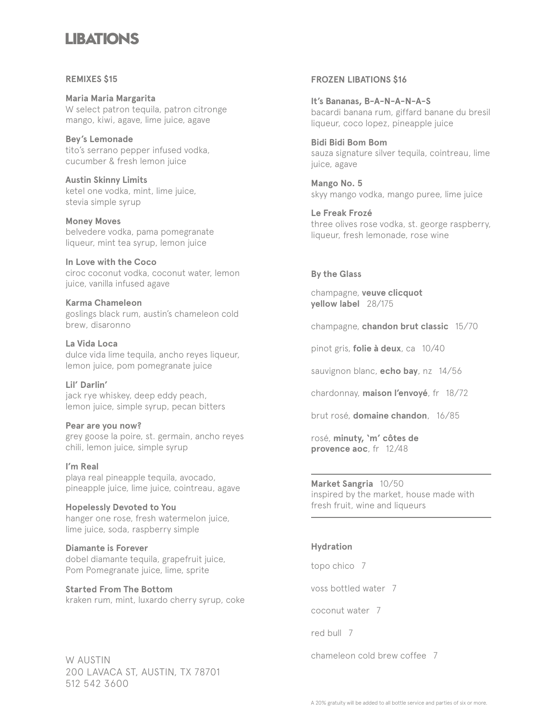## **LIBATIONS**

#### **REMIXES \$15**

**Maria Maria Margarita** W select patron tequila, patron citronge mango, kiwi, agave, lime juice, agave

**Bey's Lemonade** tito's serrano pepper infused vodka, cucumber & fresh lemon juice

**Austin Skinny Limits** ketel one vodka, mint, lime juice, stevia simple syrup

**Money Moves** belvedere vodka, pama pomegranate liqueur, mint tea syrup, lemon juice

**In Love with the Coco** ciroc coconut vodka, coconut water, lemon juice, vanilla infused agave

**Karma Chameleon** goslings black rum, austin's chameleon cold brew, disaronno

**La Vida Loca** dulce vida lime tequila, ancho reyes liqueur, lemon juice, pom pomegranate juice

**Lil' Darlin'** jack rye whiskey, deep eddy peach, lemon juice, simple syrup, pecan bitters

**Pear are you now?**  grey goose la poire, st. germain, ancho reyes chili, lemon juice, simple syrup

**I'm Real** playa real pineapple tequila, avocado, pineapple juice, lime juice, cointreau, agave

**Hopelessly Devoted to You** hanger one rose, fresh watermelon juice, lime juice, soda, raspberry simple

**Diamante is Forever** dobel diamante tequila, grapefruit juice, Pom Pomegranate juice, lime, sprite

**Started From The Bottom** kraken rum, mint, luxardo cherry syrup, coke

W AUSTIN 200 LAVACA ST, AUSTIN, TX 78701 512 542 3600

#### **FROZEN LIBATIONS \$16**

**It's Bananas, B-A-N-A-N-A-S** bacardi banana rum, giffard banane du bresil liqueur, coco lopez, pineapple juice

**Bidi Bidi Bom Bom** sauza signature silver tequila, cointreau, lime juice, agave

**Mango No. 5** skyy mango vodka, mango puree, lime juice

**Le Freak Frozé** three olives rose vodka, st. george raspberry, liqueur, fresh lemonade, rose wine

### **By the Glass**

champagne, **veuve clicquot yellow label** 28/175

champagne, **chandon brut classic** 15/70

pinot gris, **folie à deux**, ca 10/40

sauvignon blanc, **echo bay**, nz 14/56

chardonnay, **maison l'envoyé**, fr 18/72

brut rosé, **domaine chandon**, 16/85

rosé, **minuty, 'm' côtes de provence aoc**, fr 12/48

**Market Sangria** 10/50 inspired by the market, house made with fresh fruit, wine and liqueurs

### **Hydration**

topo chico 7

voss bottled water 7

coconut water 7

red bull 7

chameleon cold brew coffee 7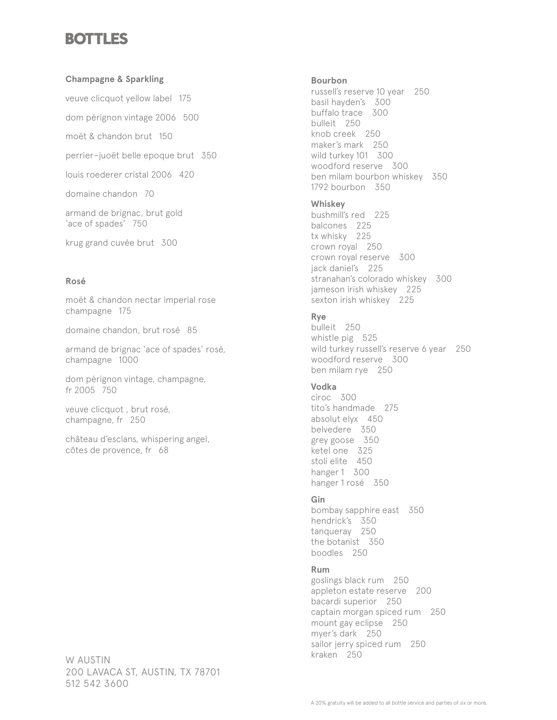## **BOTTLES**

### **Champagne & Sparkling**

veuve clicquot yellow label 175

dom pérignon vintage 2006 500

moët & chandon brut 150

perrier–juoët belle epoque brut 350

louis roederer cristal 2006 420

domaine chandon 70

armand de brignac, brut gold 'ace of spades' 750

krug grand cuvée brut 300

#### **Rosé**

moët & chandon nectar imperial rose champagne 175

domaine chandon, brut rosé 85

armand de brignac 'ace of spades' rosé, champagne 1000

dom pérignon vintage, champagne, fr 2005 750

veuve clicquot , brut rosé, champagne, fr 250

château d'esclans, whispering angel, côtes de provence, fr 68

W AUSTIN 200 LAVACA ST, AUSTIN, TX 78701 512 542 3600

### **Bourbon**

russell's reserve 10 year 250 basil hayden's 300 buffalo trace 300 bulleit 250 knob creek 250 maker's mark 250 wild turkey 101 300 woodford reserve 300 ben milam bourbon whiskey 350 1792 bourbon 350

### **Whiskey**

bushmill's red 225 balcones 225 tx whisky 225 crown royal 250 crown royal reserve 300 jack daniel's 225 stranahan's colorado whiskey 300 jameson irish whiskey 225 sexton irish whiskey 225

## **Rye**

bulleit 250 whistle pig 525 wild turkey russell's reserve 6 year 250 woodford reserve 300 ben milam rye 250

### **Vodka**

ciroc 300 tito's handmade 275 absolut elyx 450 belvedere 350 grey goose 350 ketel one 325 stoli elite 450 hanger 1 300 hanger 1 rosé 350

### **Gin**

bombay sapphire east 350 hendrick's 350 tanqueray 250 the botanist 350 boodles 250

## **Rum**

goslings black rum 250 appleton estate reserve 200 bacardi superior 250 captain morgan spiced rum 250 mount gay eclipse 250 myer's dark 250 sailor jerry spiced rum 250 kraken 250